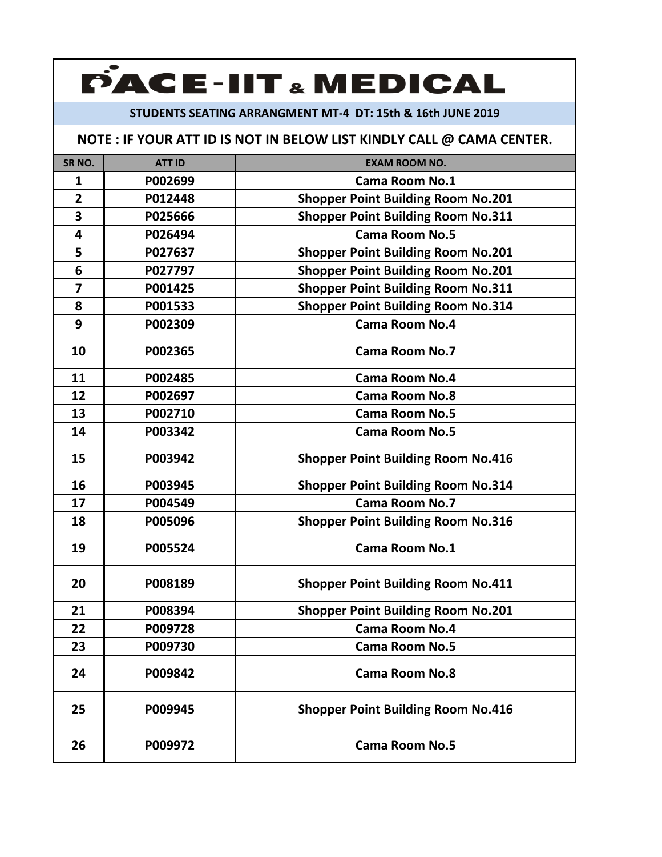### **STUDENTS SEATING ARRANGMENT MT‐4 DT: 15th & 16th JUNE 2019**

| SR <sub>NO</sub> . | <b>ATT ID</b> | <b>EXAM ROOM NO.</b>                      |
|--------------------|---------------|-------------------------------------------|
| 1                  | P002699       | <b>Cama Room No.1</b>                     |
| $\overline{2}$     | P012448       | <b>Shopper Point Building Room No.201</b> |
| 3                  | P025666       | <b>Shopper Point Building Room No.311</b> |
| 4                  | P026494       | <b>Cama Room No.5</b>                     |
| 5                  | P027637       | <b>Shopper Point Building Room No.201</b> |
| 6                  | P027797       | <b>Shopper Point Building Room No.201</b> |
| 7                  | P001425       | <b>Shopper Point Building Room No.311</b> |
| 8                  | P001533       | <b>Shopper Point Building Room No.314</b> |
| 9                  | P002309       | <b>Cama Room No.4</b>                     |
| 10                 | P002365       | <b>Cama Room No.7</b>                     |
| 11                 | P002485       | <b>Cama Room No.4</b>                     |
| 12                 | P002697       | <b>Cama Room No.8</b>                     |
| 13                 | P002710       | <b>Cama Room No.5</b>                     |
| 14                 | P003342       | <b>Cama Room No.5</b>                     |
| 15                 | P003942       | <b>Shopper Point Building Room No.416</b> |
| 16                 | P003945       | <b>Shopper Point Building Room No.314</b> |
| 17                 | P004549       | <b>Cama Room No.7</b>                     |
| 18                 | P005096       | <b>Shopper Point Building Room No.316</b> |
| 19                 | P005524       | <b>Cama Room No.1</b>                     |
| 20                 | P008189       | <b>Shopper Point Building Room No.411</b> |
| 21                 | P008394       | <b>Shopper Point Building Room No.201</b> |
| 22                 | P009728       | <b>Cama Room No.4</b>                     |
| 23                 | P009730       | <b>Cama Room No.5</b>                     |
| 24                 | P009842       | <b>Cama Room No.8</b>                     |
| 25                 | P009945       | <b>Shopper Point Building Room No.416</b> |
| 26                 | P009972       | <b>Cama Room No.5</b>                     |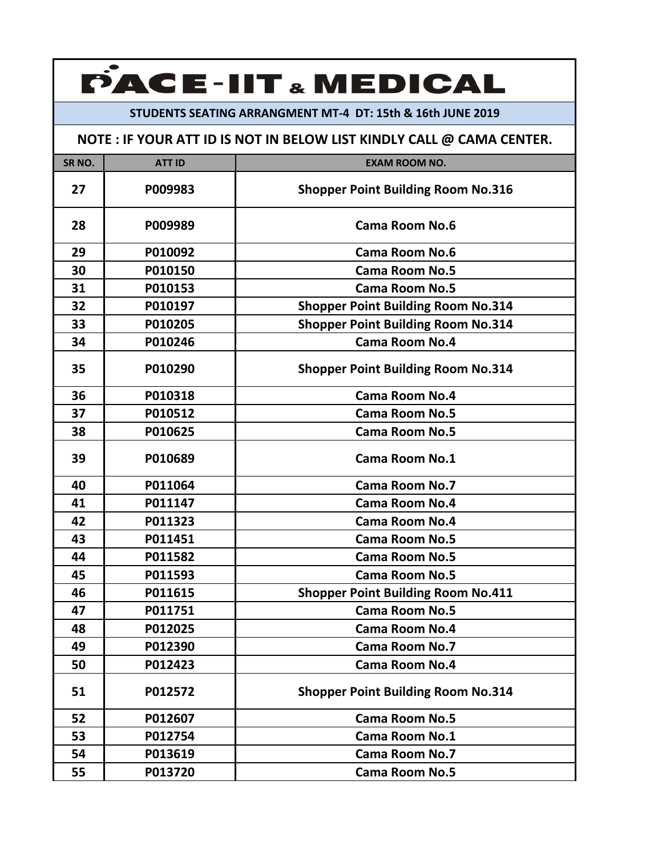### **STUDENTS SEATING ARRANGMENT MT‐4 DT: 15th & 16th JUNE 2019**

| SR <sub>NO.</sub> | <b>ATT ID</b> | <b>EXAM ROOM NO.</b>                      |
|-------------------|---------------|-------------------------------------------|
| 27                | P009983       | <b>Shopper Point Building Room No.316</b> |
| 28                | P009989       | Cama Room No.6                            |
| 29                | P010092       | Cama Room No.6                            |
| 30                | P010150       | <b>Cama Room No.5</b>                     |
| 31                | P010153       | <b>Cama Room No.5</b>                     |
| 32                | P010197       | <b>Shopper Point Building Room No.314</b> |
| 33                | P010205       | <b>Shopper Point Building Room No.314</b> |
| 34                | P010246       | <b>Cama Room No.4</b>                     |
| 35                | P010290       | <b>Shopper Point Building Room No.314</b> |
| 36                | P010318       | <b>Cama Room No.4</b>                     |
| 37                | P010512       | <b>Cama Room No.5</b>                     |
| 38                | P010625       | <b>Cama Room No.5</b>                     |
| 39                | P010689       | Cama Room No.1                            |
| 40                | P011064       | <b>Cama Room No.7</b>                     |
| 41                | P011147       | <b>Cama Room No.4</b>                     |
| 42                | P011323       | <b>Cama Room No.4</b>                     |
| 43                | P011451       | <b>Cama Room No.5</b>                     |
| 44                | P011582       | <b>Cama Room No.5</b>                     |
| 45                | P011593       | <b>Cama Room No.5</b>                     |
| 46                | P011615       | <b>Shopper Point Building Room No.411</b> |
| 47                | P011751       | <b>Cama Room No.5</b>                     |
| 48                | P012025       | <b>Cama Room No.4</b>                     |
| 49                | P012390       | <b>Cama Room No.7</b>                     |
| 50                | P012423       | <b>Cama Room No.4</b>                     |
| 51                | P012572       | <b>Shopper Point Building Room No.314</b> |
| 52                | P012607       | <b>Cama Room No.5</b>                     |
| 53                | P012754       | <b>Cama Room No.1</b>                     |
| 54                | P013619       | <b>Cama Room No.7</b>                     |
| 55                | P013720       | <b>Cama Room No.5</b>                     |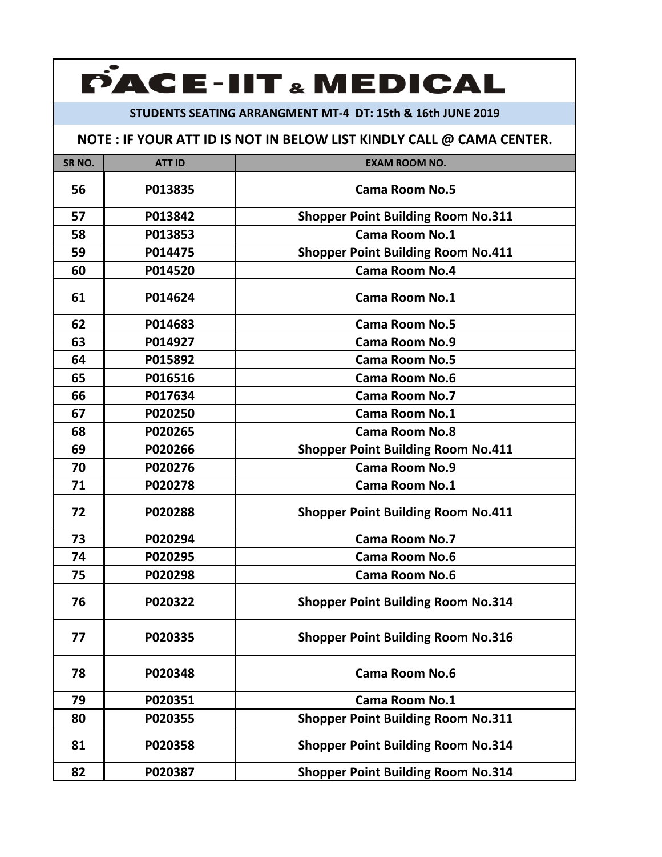#### **STUDENTS SEATING ARRANGMENT MT‐4 DT: 15th & 16th JUNE 2019**

| SR <sub>NO</sub> . | <b>ATT ID</b> | <b>EXAM ROOM NO.</b>                      |
|--------------------|---------------|-------------------------------------------|
| 56                 | P013835       | <b>Cama Room No.5</b>                     |
| 57                 | P013842       | <b>Shopper Point Building Room No.311</b> |
| 58                 | P013853       | <b>Cama Room No.1</b>                     |
| 59                 | P014475       | <b>Shopper Point Building Room No.411</b> |
| 60                 | P014520       | <b>Cama Room No.4</b>                     |
| 61                 | P014624       | <b>Cama Room No.1</b>                     |
| 62                 | P014683       | <b>Cama Room No.5</b>                     |
| 63                 | P014927       | <b>Cama Room No.9</b>                     |
| 64                 | P015892       | <b>Cama Room No.5</b>                     |
| 65                 | P016516       | <b>Cama Room No.6</b>                     |
| 66                 | P017634       | <b>Cama Room No.7</b>                     |
| 67                 | P020250       | Cama Room No.1                            |
| 68                 | P020265       | <b>Cama Room No.8</b>                     |
| 69                 | P020266       | <b>Shopper Point Building Room No.411</b> |
| 70                 | P020276       | <b>Cama Room No.9</b>                     |
| 71                 | P020278       | <b>Cama Room No.1</b>                     |
| 72                 | P020288       | <b>Shopper Point Building Room No.411</b> |
| 73                 | P020294       | <b>Cama Room No.7</b>                     |
| 74                 | P020295       | <b>Cama Room No.6</b>                     |
| 75                 | P020298       | <b>Cama Room No.6</b>                     |
| 76                 | P020322       | <b>Shopper Point Building Room No.314</b> |
| 77                 | P020335       | <b>Shopper Point Building Room No.316</b> |
| 78                 | P020348       | <b>Cama Room No.6</b>                     |
| 79                 | P020351       | Cama Room No.1                            |
| 80                 | P020355       | <b>Shopper Point Building Room No.311</b> |
| 81                 | P020358       | <b>Shopper Point Building Room No.314</b> |
| 82                 | P020387       | <b>Shopper Point Building Room No.314</b> |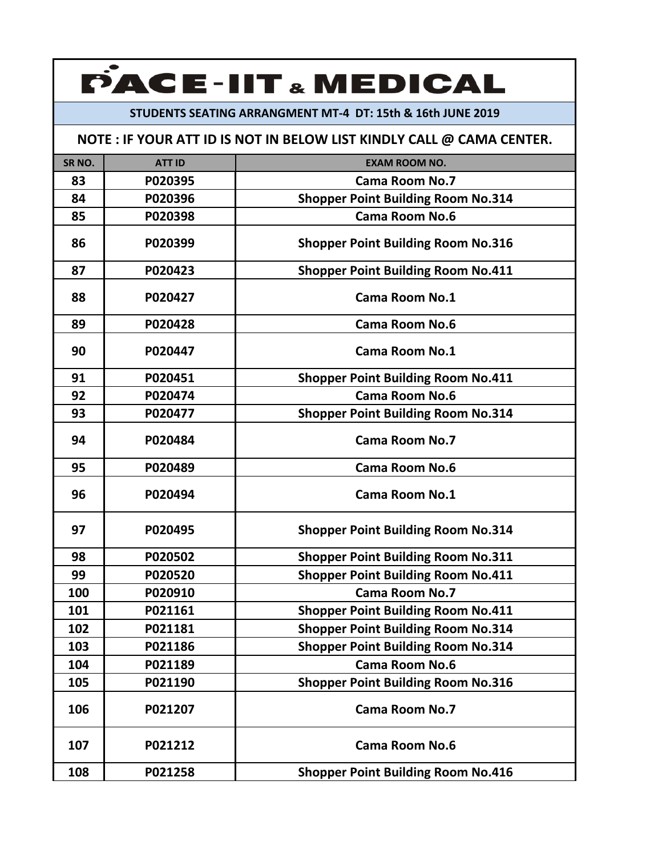### **STUDENTS SEATING ARRANGMENT MT‐4 DT: 15th & 16th JUNE 2019**

| SR <sub>NO</sub> . | <b>ATT ID</b> | <b>EXAM ROOM NO.</b>                      |
|--------------------|---------------|-------------------------------------------|
| 83                 | P020395       | <b>Cama Room No.7</b>                     |
| 84                 | P020396       | <b>Shopper Point Building Room No.314</b> |
| 85                 | P020398       | Cama Room No.6                            |
| 86                 | P020399       | <b>Shopper Point Building Room No.316</b> |
| 87                 | P020423       | <b>Shopper Point Building Room No.411</b> |
| 88                 | P020427       | <b>Cama Room No.1</b>                     |
| 89                 | P020428       | <b>Cama Room No.6</b>                     |
| 90                 | P020447       | <b>Cama Room No.1</b>                     |
| 91                 | P020451       | <b>Shopper Point Building Room No.411</b> |
| 92                 | P020474       | <b>Cama Room No.6</b>                     |
| 93                 | P020477       | <b>Shopper Point Building Room No.314</b> |
| 94                 | P020484       | <b>Cama Room No.7</b>                     |
| 95                 | P020489       | <b>Cama Room No.6</b>                     |
| 96                 | P020494       | <b>Cama Room No.1</b>                     |
| 97                 | P020495       | <b>Shopper Point Building Room No.314</b> |
| 98                 | P020502       | <b>Shopper Point Building Room No.311</b> |
| 99                 | P020520       | <b>Shopper Point Building Room No.411</b> |
| 100                | P020910       | <b>Cama Room No.7</b>                     |
| 101                | P021161       | <b>Shopper Point Building Room No.411</b> |
| 102                | P021181       | <b>Shopper Point Building Room No.314</b> |
| 103                | P021186       | <b>Shopper Point Building Room No.314</b> |
| 104                | P021189       | <b>Cama Room No.6</b>                     |
| 105                | P021190       | <b>Shopper Point Building Room No.316</b> |
| 106                | P021207       | <b>Cama Room No.7</b>                     |
| 107                | P021212       | <b>Cama Room No.6</b>                     |
| 108                | P021258       | <b>Shopper Point Building Room No.416</b> |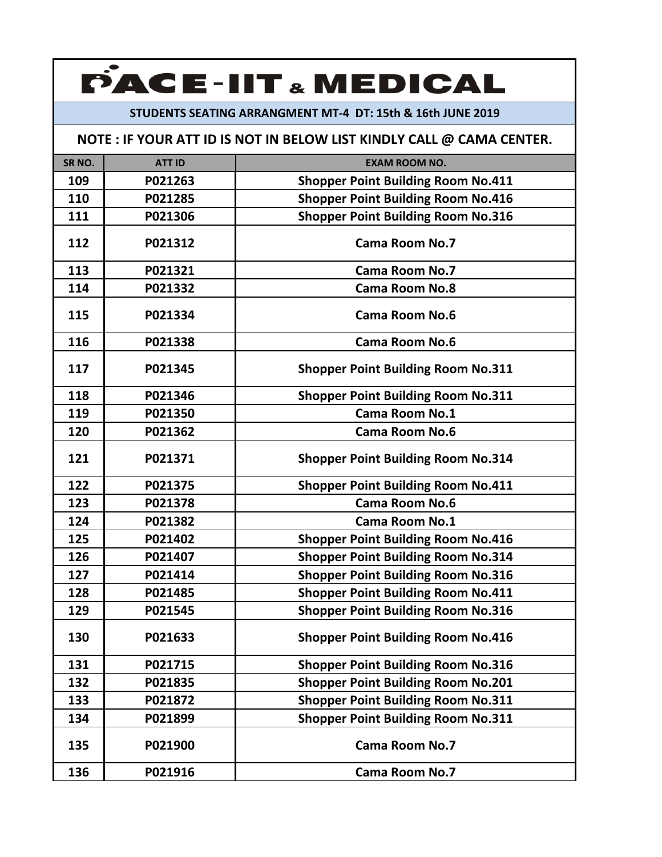### **STUDENTS SEATING ARRANGMENT MT‐4 DT: 15th & 16th JUNE 2019**

| SR <sub>NO.</sub> | <b>ATT ID</b> | <b>EXAM ROOM NO.</b>                      |
|-------------------|---------------|-------------------------------------------|
| 109               | P021263       | <b>Shopper Point Building Room No.411</b> |
| 110               | P021285       | <b>Shopper Point Building Room No.416</b> |
| 111               | P021306       | <b>Shopper Point Building Room No.316</b> |
| 112               | P021312       | <b>Cama Room No.7</b>                     |
| 113               | P021321       | <b>Cama Room No.7</b>                     |
| 114               | P021332       | <b>Cama Room No.8</b>                     |
| 115               | P021334       | <b>Cama Room No.6</b>                     |
| 116               | P021338       | <b>Cama Room No.6</b>                     |
| 117               | P021345       | <b>Shopper Point Building Room No.311</b> |
| 118               | P021346       | <b>Shopper Point Building Room No.311</b> |
| 119               | P021350       | <b>Cama Room No.1</b>                     |
| 120               | P021362       | <b>Cama Room No.6</b>                     |
| 121               | P021371       | <b>Shopper Point Building Room No.314</b> |
| 122               | P021375       | <b>Shopper Point Building Room No.411</b> |
| 123               | P021378       | <b>Cama Room No.6</b>                     |
| 124               | P021382       | <b>Cama Room No.1</b>                     |
| 125               | P021402       | <b>Shopper Point Building Room No.416</b> |
| 126               | P021407       | <b>Shopper Point Building Room No.314</b> |
| 127               | P021414       | <b>Shopper Point Building Room No.316</b> |
| 128               | P021485       | <b>Shopper Point Building Room No.411</b> |
| 129               | P021545       | <b>Shopper Point Building Room No.316</b> |
| 130               | P021633       | <b>Shopper Point Building Room No.416</b> |
| 131               | P021715       | <b>Shopper Point Building Room No.316</b> |
| 132               | P021835       | <b>Shopper Point Building Room No.201</b> |
| 133               | P021872       | <b>Shopper Point Building Room No.311</b> |
| 134               | P021899       | <b>Shopper Point Building Room No.311</b> |
| 135               | P021900       | <b>Cama Room No.7</b>                     |
| 136               | P021916       | <b>Cama Room No.7</b>                     |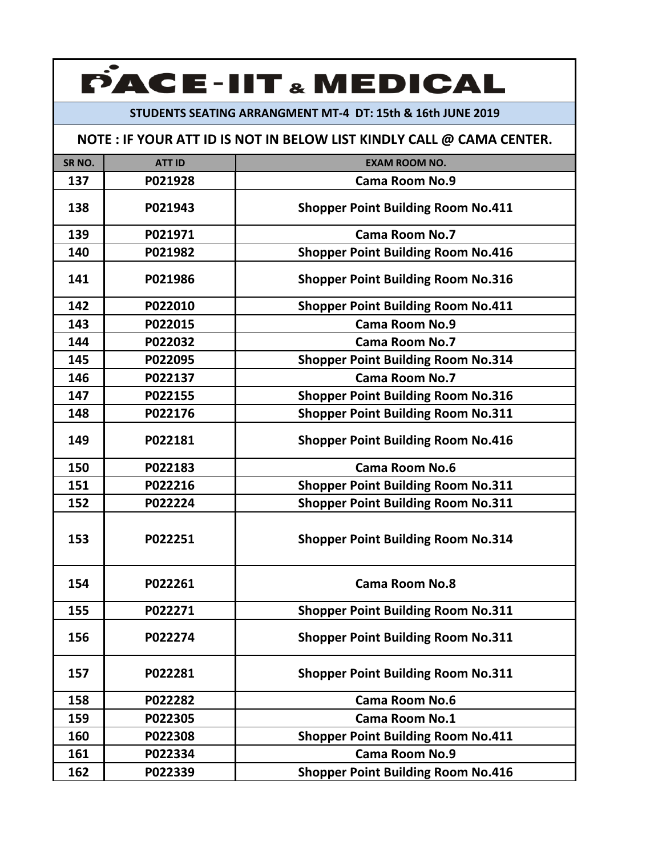### **STUDENTS SEATING ARRANGMENT MT‐4 DT: 15th & 16th JUNE 2019**

| SR <sub>NO</sub> . | <b>ATT ID</b> | <b>EXAM ROOM NO.</b>                      |
|--------------------|---------------|-------------------------------------------|
| 137                | P021928       | <b>Cama Room No.9</b>                     |
| 138                | P021943       | <b>Shopper Point Building Room No.411</b> |
| 139                | P021971       | <b>Cama Room No.7</b>                     |
| 140                | P021982       | <b>Shopper Point Building Room No.416</b> |
| 141                | P021986       | <b>Shopper Point Building Room No.316</b> |
| 142                | P022010       | <b>Shopper Point Building Room No.411</b> |
| 143                | P022015       | <b>Cama Room No.9</b>                     |
| 144                | P022032       | <b>Cama Room No.7</b>                     |
| 145                | P022095       | <b>Shopper Point Building Room No.314</b> |
| 146                | P022137       | <b>Cama Room No.7</b>                     |
| 147                | P022155       | <b>Shopper Point Building Room No.316</b> |
| 148                | P022176       | <b>Shopper Point Building Room No.311</b> |
| 149                | P022181       | <b>Shopper Point Building Room No.416</b> |
| 150                | P022183       | <b>Cama Room No.6</b>                     |
| 151                | P022216       | <b>Shopper Point Building Room No.311</b> |
| 152                | P022224       | <b>Shopper Point Building Room No.311</b> |
| 153                | P022251       | <b>Shopper Point Building Room No.314</b> |
| 154                | P022261       | <b>Cama Room No.8</b>                     |
| 155                | P022271       | <b>Shopper Point Building Room No.311</b> |
| 156                | P022274       | <b>Shopper Point Building Room No.311</b> |
| 157                | P022281       | <b>Shopper Point Building Room No.311</b> |
| 158                | P022282       | <b>Cama Room No.6</b>                     |
| 159                | P022305       | <b>Cama Room No.1</b>                     |
| 160                | P022308       | <b>Shopper Point Building Room No.411</b> |
| 161                | P022334       | Cama Room No.9                            |
| 162                | P022339       | <b>Shopper Point Building Room No.416</b> |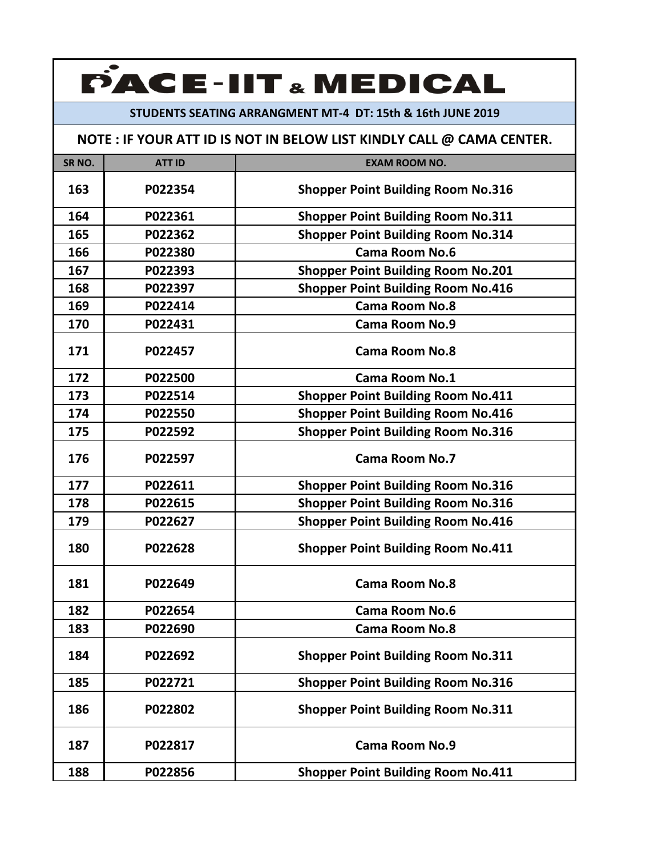#### **STUDENTS SEATING ARRANGMENT MT‐4 DT: 15th & 16th JUNE 2019**

| SR <sub>NO.</sub> | <b>ATT ID</b> | <b>EXAM ROOM NO.</b>                      |
|-------------------|---------------|-------------------------------------------|
| 163               | P022354       | <b>Shopper Point Building Room No.316</b> |
| 164               | P022361       | <b>Shopper Point Building Room No.311</b> |
| 165               | P022362       | <b>Shopper Point Building Room No.314</b> |
| 166               | P022380       | <b>Cama Room No.6</b>                     |
| 167               | P022393       | <b>Shopper Point Building Room No.201</b> |
| 168               | P022397       | <b>Shopper Point Building Room No.416</b> |
| 169               | P022414       | <b>Cama Room No.8</b>                     |
| 170               | P022431       | <b>Cama Room No.9</b>                     |
| 171               | P022457       | <b>Cama Room No.8</b>                     |
| 172               | P022500       | Cama Room No.1                            |
| 173               | P022514       | <b>Shopper Point Building Room No.411</b> |
| 174               | P022550       | <b>Shopper Point Building Room No.416</b> |
| 175               | P022592       | <b>Shopper Point Building Room No.316</b> |
| 176               | P022597       | <b>Cama Room No.7</b>                     |
| 177               | P022611       | <b>Shopper Point Building Room No.316</b> |
| 178               | P022615       | <b>Shopper Point Building Room No.316</b> |
| 179               | P022627       | <b>Shopper Point Building Room No.416</b> |
| 180               | P022628       | <b>Shopper Point Building Room No.411</b> |
| 181               | P022649       | <b>Cama Room No.8</b>                     |
| 182               | P022654       | <b>Cama Room No.6</b>                     |
| 183               | P022690       | <b>Cama Room No.8</b>                     |
| 184               | P022692       | <b>Shopper Point Building Room No.311</b> |
| 185               | P022721       | <b>Shopper Point Building Room No.316</b> |
| 186               | P022802       | <b>Shopper Point Building Room No.311</b> |
| 187               | P022817       | <b>Cama Room No.9</b>                     |
| 188               | P022856       | <b>Shopper Point Building Room No.411</b> |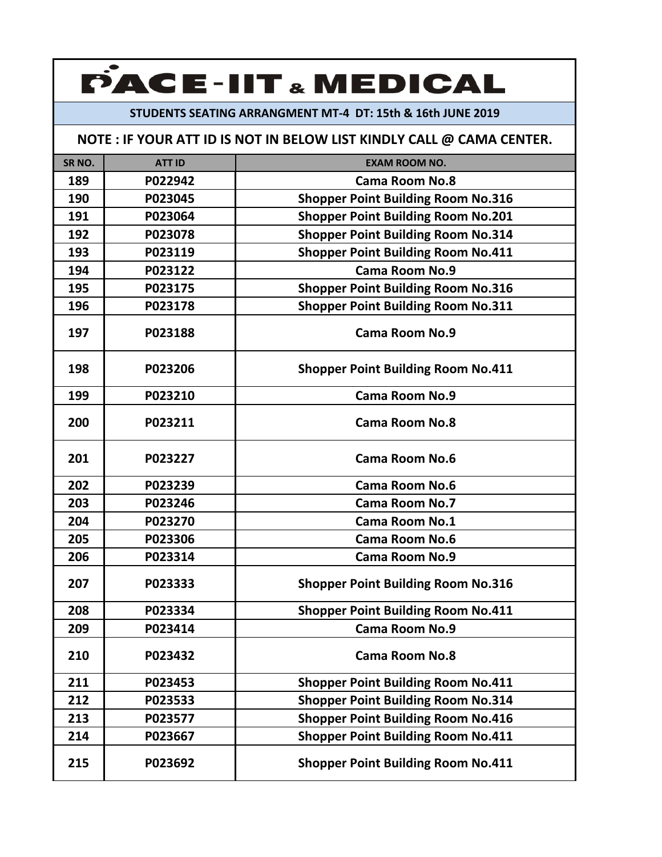### **STUDENTS SEATING ARRANGMENT MT‐4 DT: 15th & 16th JUNE 2019**

| SR <sub>NO.</sub> | <b>ATT ID</b> | <b>EXAM ROOM NO.</b>                      |
|-------------------|---------------|-------------------------------------------|
| 189               | P022942       | <b>Cama Room No.8</b>                     |
| 190               | P023045       | <b>Shopper Point Building Room No.316</b> |
| 191               | P023064       | <b>Shopper Point Building Room No.201</b> |
| 192               | P023078       | <b>Shopper Point Building Room No.314</b> |
| 193               | P023119       | <b>Shopper Point Building Room No.411</b> |
| 194               | P023122       | <b>Cama Room No.9</b>                     |
| 195               | P023175       | <b>Shopper Point Building Room No.316</b> |
| 196               | P023178       | <b>Shopper Point Building Room No.311</b> |
| 197               | P023188       | Cama Room No.9                            |
| 198               | P023206       | <b>Shopper Point Building Room No.411</b> |
| 199               | P023210       | <b>Cama Room No.9</b>                     |
| 200               | P023211       | <b>Cama Room No.8</b>                     |
| 201               | P023227       | <b>Cama Room No.6</b>                     |
| 202               | P023239       | <b>Cama Room No.6</b>                     |
| 203               | P023246       | <b>Cama Room No.7</b>                     |
| 204               | P023270       | <b>Cama Room No.1</b>                     |
| 205               | P023306       | <b>Cama Room No.6</b>                     |
| 206               | P023314       | <b>Cama Room No.9</b>                     |
| 207               | P023333       | <b>Shopper Point Building Room No.316</b> |
| 208               | P023334       | <b>Shopper Point Building Room No.411</b> |
| 209               | P023414       | <b>Cama Room No.9</b>                     |
| 210               | P023432       | <b>Cama Room No.8</b>                     |
| 211               | P023453       | <b>Shopper Point Building Room No.411</b> |
| 212               | P023533       | <b>Shopper Point Building Room No.314</b> |
| 213               | P023577       | <b>Shopper Point Building Room No.416</b> |
| 214               | P023667       | <b>Shopper Point Building Room No.411</b> |
| 215               | P023692       | <b>Shopper Point Building Room No.411</b> |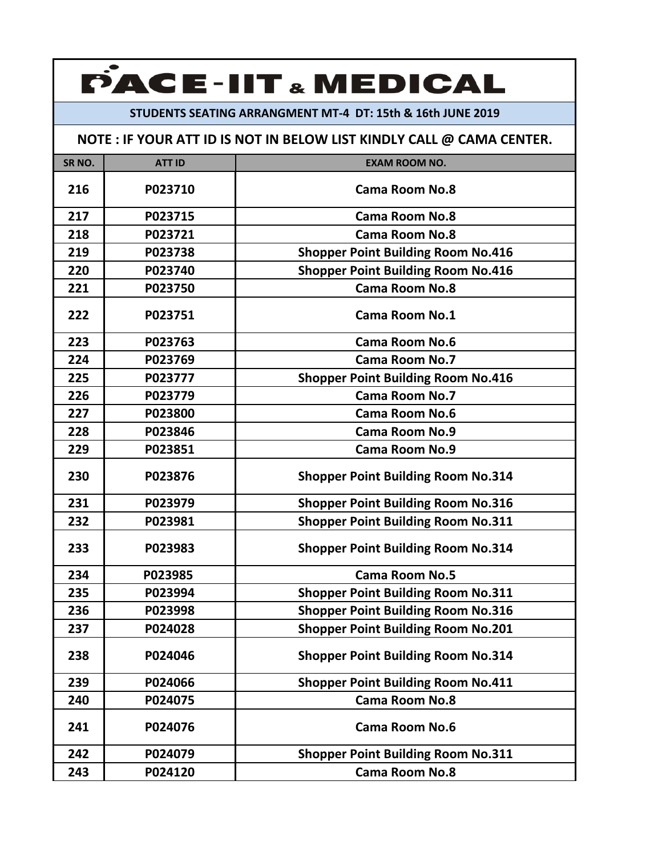#### **STUDENTS SEATING ARRANGMENT MT‐4 DT: 15th & 16th JUNE 2019**

| SR <sub>NO</sub> . | <b>ATT ID</b> | <b>EXAM ROOM NO.</b>                      |
|--------------------|---------------|-------------------------------------------|
| 216                | P023710       | <b>Cama Room No.8</b>                     |
| 217                | P023715       | <b>Cama Room No.8</b>                     |
| 218                | P023721       | <b>Cama Room No.8</b>                     |
| 219                | P023738       | <b>Shopper Point Building Room No.416</b> |
| 220                | P023740       | <b>Shopper Point Building Room No.416</b> |
| 221                | P023750       | <b>Cama Room No.8</b>                     |
| 222                | P023751       | <b>Cama Room No.1</b>                     |
| 223                | P023763       | <b>Cama Room No.6</b>                     |
| 224                | P023769       | <b>Cama Room No.7</b>                     |
| 225                | P023777       | <b>Shopper Point Building Room No.416</b> |
| 226                | P023779       | <b>Cama Room No.7</b>                     |
| 227                | P023800       | <b>Cama Room No.6</b>                     |
| 228                | P023846       | <b>Cama Room No.9</b>                     |
| 229                | P023851       | <b>Cama Room No.9</b>                     |
| 230                | P023876       | <b>Shopper Point Building Room No.314</b> |
| 231                | P023979       | <b>Shopper Point Building Room No.316</b> |
| 232                | P023981       | <b>Shopper Point Building Room No.311</b> |
| 233                | P023983       | <b>Shopper Point Building Room No.314</b> |
| 234                | P023985       | <b>Cama Room No.5</b>                     |
| 235                | P023994       | <b>Shopper Point Building Room No.311</b> |
| 236                | P023998       | <b>Shopper Point Building Room No.316</b> |
| 237                | P024028       | <b>Shopper Point Building Room No.201</b> |
| 238                | P024046       | <b>Shopper Point Building Room No.314</b> |
| 239                | P024066       | <b>Shopper Point Building Room No.411</b> |
| 240                | P024075       | <b>Cama Room No.8</b>                     |
| 241                | P024076       | <b>Cama Room No.6</b>                     |
| 242                | P024079       | <b>Shopper Point Building Room No.311</b> |
| 243                | P024120       | <b>Cama Room No.8</b>                     |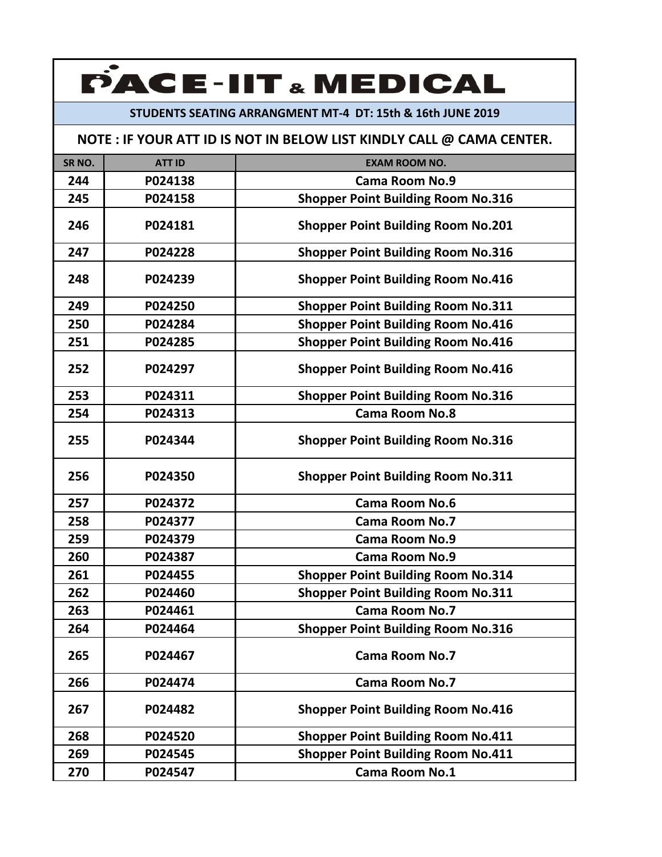### **STUDENTS SEATING ARRANGMENT MT‐4 DT: 15th & 16th JUNE 2019**

| SR <sub>NO.</sub> | <b>ATT ID</b> | <b>EXAM ROOM NO.</b>                      |
|-------------------|---------------|-------------------------------------------|
| 244               | P024138       | <b>Cama Room No.9</b>                     |
| 245               | P024158       | <b>Shopper Point Building Room No.316</b> |
|                   |               |                                           |
| 246               | P024181       | <b>Shopper Point Building Room No.201</b> |
| 247               | P024228       | <b>Shopper Point Building Room No.316</b> |
| 248               | P024239       | <b>Shopper Point Building Room No.416</b> |
| 249               | P024250       | <b>Shopper Point Building Room No.311</b> |
| 250               | P024284       | <b>Shopper Point Building Room No.416</b> |
| 251               | P024285       | <b>Shopper Point Building Room No.416</b> |
| 252               | P024297       | <b>Shopper Point Building Room No.416</b> |
| 253               | P024311       | <b>Shopper Point Building Room No.316</b> |
| 254               | P024313       | <b>Cama Room No.8</b>                     |
| 255               | P024344       | <b>Shopper Point Building Room No.316</b> |
| 256               | P024350       | <b>Shopper Point Building Room No.311</b> |
| 257               | P024372       | <b>Cama Room No.6</b>                     |
| 258               | P024377       | <b>Cama Room No.7</b>                     |
| 259               | P024379       | <b>Cama Room No.9</b>                     |
| 260               | P024387       | <b>Cama Room No.9</b>                     |
| 261               | P024455       | <b>Shopper Point Building Room No.314</b> |
| 262               | P024460       | <b>Shopper Point Building Room No.311</b> |
| 263               | P024461       | <b>Cama Room No.7</b>                     |
| 264               | P024464       | <b>Shopper Point Building Room No.316</b> |
| 265               | P024467       | <b>Cama Room No.7</b>                     |
| 266               | P024474       | <b>Cama Room No.7</b>                     |
| 267               | P024482       | <b>Shopper Point Building Room No.416</b> |
| 268               | P024520       | <b>Shopper Point Building Room No.411</b> |
| 269               | P024545       | <b>Shopper Point Building Room No.411</b> |
| 270               | P024547       | Cama Room No.1                            |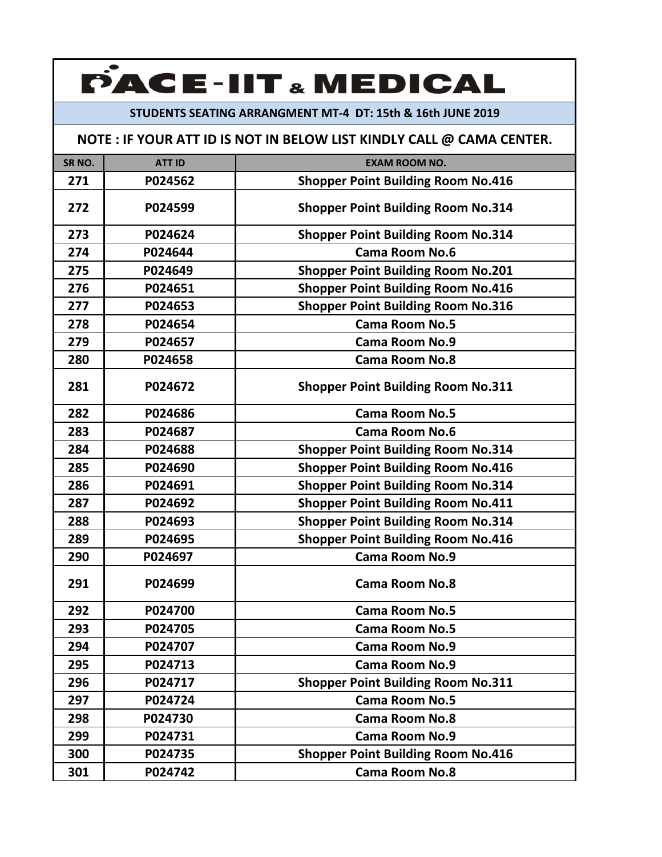### **STUDENTS SEATING ARRANGMENT MT‐4 DT: 15th & 16th JUNE 2019**

| SR <sub>NO</sub> . | <b>ATT ID</b> | <b>EXAM ROOM NO.</b>                      |
|--------------------|---------------|-------------------------------------------|
| 271                | P024562       | <b>Shopper Point Building Room No.416</b> |
| 272                | P024599       | <b>Shopper Point Building Room No.314</b> |
| 273                | P024624       | <b>Shopper Point Building Room No.314</b> |
| 274                | P024644       | <b>Cama Room No.6</b>                     |
| 275                | P024649       | <b>Shopper Point Building Room No.201</b> |
| 276                | P024651       | <b>Shopper Point Building Room No.416</b> |
| 277                | P024653       | <b>Shopper Point Building Room No.316</b> |
| 278                | P024654       | <b>Cama Room No.5</b>                     |
| 279                | P024657       | <b>Cama Room No.9</b>                     |
| 280                | P024658       | <b>Cama Room No.8</b>                     |
| 281                | P024672       | <b>Shopper Point Building Room No.311</b> |
| 282                | P024686       | <b>Cama Room No.5</b>                     |
| 283                | P024687       | Cama Room No.6                            |
| 284                | P024688       | <b>Shopper Point Building Room No.314</b> |
| 285                | P024690       | <b>Shopper Point Building Room No.416</b> |
| 286                | P024691       | <b>Shopper Point Building Room No.314</b> |
| 287                | P024692       | <b>Shopper Point Building Room No.411</b> |
| 288                | P024693       | <b>Shopper Point Building Room No.314</b> |
| 289                | P024695       | <b>Shopper Point Building Room No.416</b> |
| 290                | P024697       | <b>Cama Room No.9</b>                     |
| 291                | P024699       | <b>Cama Room No.8</b>                     |
| 292                | P024700       | <b>Cama Room No.5</b>                     |
| 293                | P024705       | <b>Cama Room No.5</b>                     |
| 294                | P024707       | <b>Cama Room No.9</b>                     |
| 295                | P024713       | <b>Cama Room No.9</b>                     |
| 296                | P024717       | <b>Shopper Point Building Room No.311</b> |
| 297                | P024724       | <b>Cama Room No.5</b>                     |
| 298                | P024730       | <b>Cama Room No.8</b>                     |
| 299                | P024731       | <b>Cama Room No.9</b>                     |
| 300                | P024735       | <b>Shopper Point Building Room No.416</b> |
| 301                | P024742       | <b>Cama Room No.8</b>                     |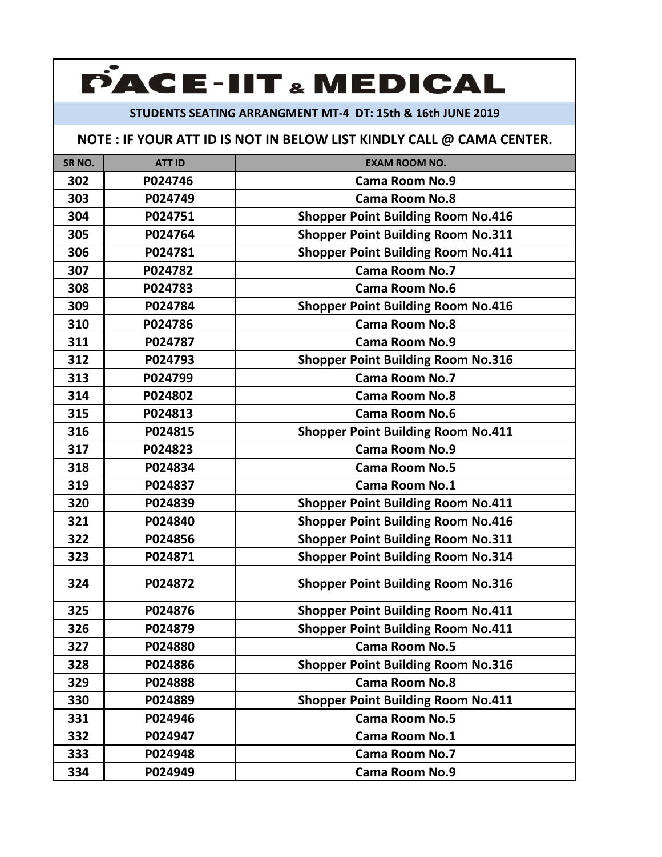### **STUDENTS SEATING ARRANGMENT MT‐4 DT: 15th & 16th JUNE 2019**

| SR <sub>NO</sub> . | <b>ATT ID</b> | <b>EXAM ROOM NO.</b>                      |
|--------------------|---------------|-------------------------------------------|
| 302                | P024746       | <b>Cama Room No.9</b>                     |
| 303                | P024749       | <b>Cama Room No.8</b>                     |
| 304                | P024751       | <b>Shopper Point Building Room No.416</b> |
| 305                | P024764       | <b>Shopper Point Building Room No.311</b> |
| 306                | P024781       | <b>Shopper Point Building Room No.411</b> |
| 307                | P024782       | <b>Cama Room No.7</b>                     |
| 308                | P024783       | <b>Cama Room No.6</b>                     |
| 309                | P024784       | <b>Shopper Point Building Room No.416</b> |
| 310                | P024786       | <b>Cama Room No.8</b>                     |
| 311                | P024787       | <b>Cama Room No.9</b>                     |
| 312                | P024793       | <b>Shopper Point Building Room No.316</b> |
| 313                | P024799       | <b>Cama Room No.7</b>                     |
| 314                | P024802       | <b>Cama Room No.8</b>                     |
| 315                | P024813       | <b>Cama Room No.6</b>                     |
| 316                | P024815       | <b>Shopper Point Building Room No.411</b> |
| 317                | P024823       | <b>Cama Room No.9</b>                     |
| 318                | P024834       | <b>Cama Room No.5</b>                     |
| 319                | P024837       | <b>Cama Room No.1</b>                     |
| 320                | P024839       | <b>Shopper Point Building Room No.411</b> |
| 321                | P024840       | <b>Shopper Point Building Room No.416</b> |
| 322                | P024856       | <b>Shopper Point Building Room No.311</b> |
| 323                | P024871       | <b>Shopper Point Building Room No.314</b> |
| 324                | P024872       | <b>Shopper Point Building Room No.316</b> |
| 325                | P024876       | <b>Shopper Point Building Room No.411</b> |
| 326                | P024879       | <b>Shopper Point Building Room No.411</b> |
| 327                | P024880       | <b>Cama Room No.5</b>                     |
| 328                | P024886       | <b>Shopper Point Building Room No.316</b> |
| 329                | P024888       | <b>Cama Room No.8</b>                     |
| 330                | P024889       | <b>Shopper Point Building Room No.411</b> |
| 331                | P024946       | <b>Cama Room No.5</b>                     |
| 332                | P024947       | <b>Cama Room No.1</b>                     |
| 333                | P024948       | <b>Cama Room No.7</b>                     |
| 334                | P024949       | <b>Cama Room No.9</b>                     |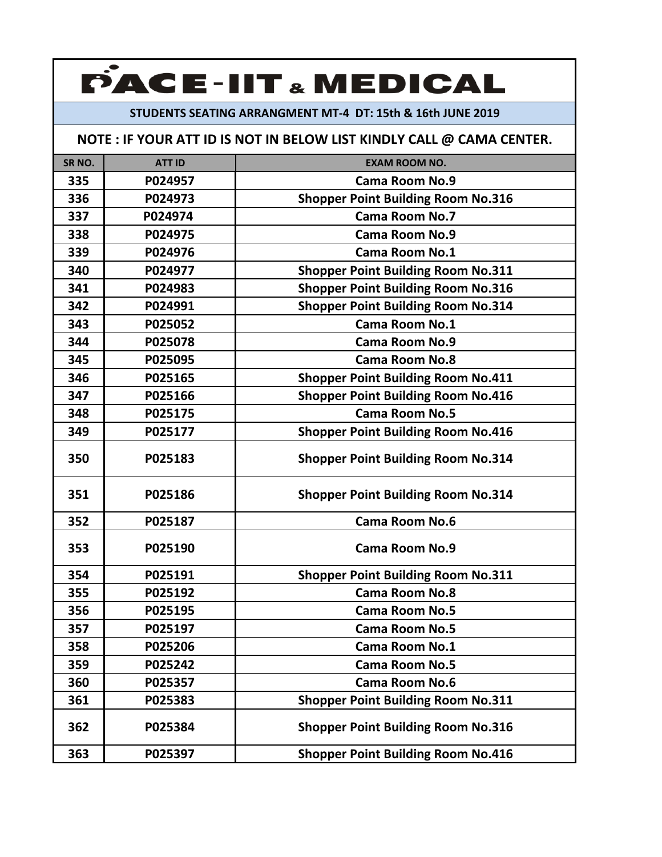### **STUDENTS SEATING ARRANGMENT MT‐4 DT: 15th & 16th JUNE 2019**

| SR <sub>NO.</sub> | <b>ATT ID</b> | <b>EXAM ROOM NO.</b>                      |
|-------------------|---------------|-------------------------------------------|
| 335               | P024957       | <b>Cama Room No.9</b>                     |
| 336               | P024973       | <b>Shopper Point Building Room No.316</b> |
| 337               | P024974       | <b>Cama Room No.7</b>                     |
| 338               | P024975       | <b>Cama Room No.9</b>                     |
| 339               | P024976       | <b>Cama Room No.1</b>                     |
| 340               | P024977       | <b>Shopper Point Building Room No.311</b> |
| 341               | P024983       | <b>Shopper Point Building Room No.316</b> |
| 342               | P024991       | <b>Shopper Point Building Room No.314</b> |
| 343               | P025052       | <b>Cama Room No.1</b>                     |
| 344               | P025078       | <b>Cama Room No.9</b>                     |
| 345               | P025095       | <b>Cama Room No.8</b>                     |
| 346               | P025165       | <b>Shopper Point Building Room No.411</b> |
| 347               | P025166       | <b>Shopper Point Building Room No.416</b> |
| 348               | P025175       | <b>Cama Room No.5</b>                     |
| 349               | P025177       | <b>Shopper Point Building Room No.416</b> |
| 350               | P025183       | <b>Shopper Point Building Room No.314</b> |
| 351               | P025186       | <b>Shopper Point Building Room No.314</b> |
| 352               | P025187       | <b>Cama Room No.6</b>                     |
| 353               | P025190       | <b>Cama Room No.9</b>                     |
| 354               | P025191       | <b>Shopper Point Building Room No.311</b> |
| 355               | P025192       | <b>Cama Room No.8</b>                     |
| 356               | P025195       | <b>Cama Room No.5</b>                     |
| 357               | P025197       | <b>Cama Room No.5</b>                     |
| 358               | P025206       | <b>Cama Room No.1</b>                     |
| 359               | P025242       | <b>Cama Room No.5</b>                     |
| 360               | P025357       | Cama Room No.6                            |
| 361               | P025383       | <b>Shopper Point Building Room No.311</b> |
| 362               | P025384       | <b>Shopper Point Building Room No.316</b> |
| 363               | P025397       | <b>Shopper Point Building Room No.416</b> |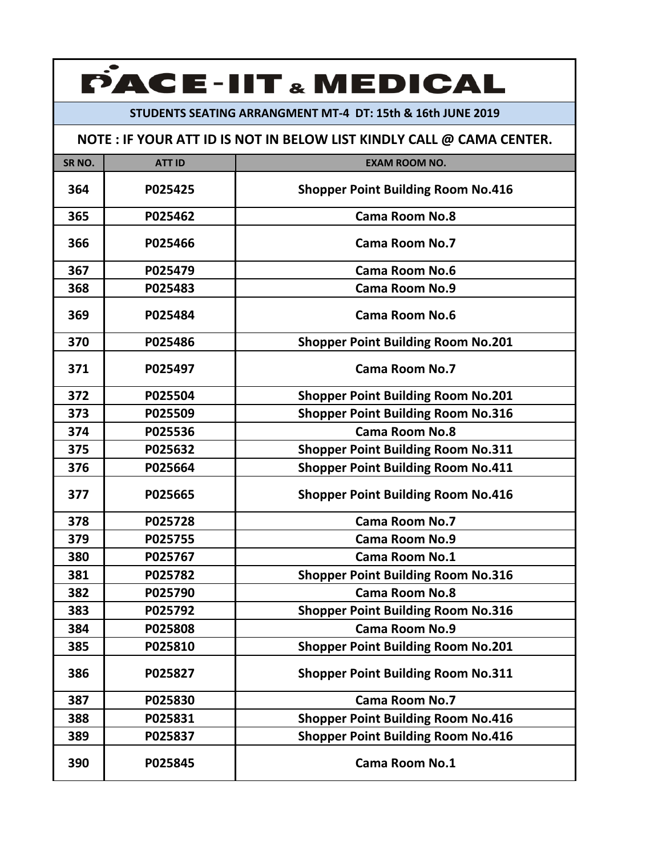#### **STUDENTS SEATING ARRANGMENT MT‐4 DT: 15th & 16th JUNE 2019**

| SR <sub>NO.</sub> | <b>ATT ID</b> | <b>EXAM ROOM NO.</b>                      |
|-------------------|---------------|-------------------------------------------|
| 364               | P025425       | <b>Shopper Point Building Room No.416</b> |
| 365               | P025462       | <b>Cama Room No.8</b>                     |
| 366               | P025466       | Cama Room No.7                            |
| 367               | P025479       | <b>Cama Room No.6</b>                     |
| 368               | P025483       | Cama Room No.9                            |
| 369               | P025484       | Cama Room No.6                            |
| 370               | P025486       | <b>Shopper Point Building Room No.201</b> |
| 371               | P025497       | <b>Cama Room No.7</b>                     |
| 372               | P025504       | <b>Shopper Point Building Room No.201</b> |
| 373               | P025509       | <b>Shopper Point Building Room No.316</b> |
| 374               | P025536       | <b>Cama Room No.8</b>                     |
| 375               | P025632       | <b>Shopper Point Building Room No.311</b> |
| 376               | P025664       | <b>Shopper Point Building Room No.411</b> |
| 377               | P025665       | <b>Shopper Point Building Room No.416</b> |
| 378               | P025728       | <b>Cama Room No.7</b>                     |
| 379               | P025755       | <b>Cama Room No.9</b>                     |
| 380               | P025767       | <b>Cama Room No.1</b>                     |
| 381               | P025782       | <b>Shopper Point Building Room No.316</b> |
| 382               | P025790       | <b>Cama Room No.8</b>                     |
| 383               | P025792       | <b>Shopper Point Building Room No.316</b> |
| 384               | P025808       | <b>Cama Room No.9</b>                     |
| 385               | P025810       | <b>Shopper Point Building Room No.201</b> |
| 386               | P025827       | <b>Shopper Point Building Room No.311</b> |
| 387               | P025830       | <b>Cama Room No.7</b>                     |
| 388               | P025831       | <b>Shopper Point Building Room No.416</b> |
| 389               | P025837       | <b>Shopper Point Building Room No.416</b> |
| 390               | P025845       | <b>Cama Room No.1</b>                     |